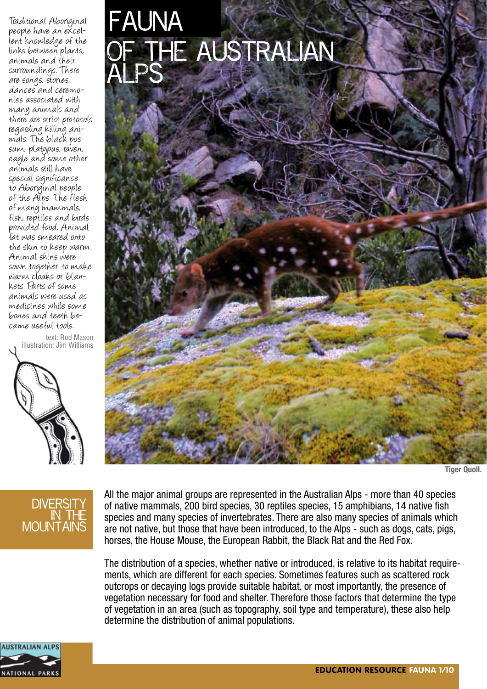Traditional Aboriginal lent knowledge of the links between plants, animals and their surroundings. There are songs, stories, dances and ceremo- nies associated with many animals and there are strict protocols regarding killing ani- mals. The black pos- sum, platypus, raven, eagle and some other animals still have special significance to Aboriginal people of the Alps. The flesh of many mammals, fish, reptiles and birds provided food. Animal fat was smeared onto the skin to keep warm. Animal skins were sown together to make warm cloaks or blan- kets. Parts of some animals were used as medicines while some bones and teeth be- came useful tools.

text: Rod Mason illustration: Jim Williams





**Tiger Quoll.**

### DIVERSITY in the **MOUNTAINS**

All the major animal groups are represented in the Australian Alps - more than 40 species of native mammals, 200 bird species, 30 reptiles species, 15 amphibians, 14 native fish species and many species of invertebrates. There are also many species of animals which are not native, but those that have been introduced, to the Alps - such as dogs, cats, pigs, horses, the House Mouse, the European Rabbit, the Black Rat and the Red Fox.

The distribution of a species, whether native or introduced, is relative to its habitat requirements, which are different for each species. Sometimes features such as scattered rock outcrops or decaying logs provide suitable habitat, or most importantly, the presence of vegetation necessary for food and shelter. Therefore those factors that determine the type of vegetation in an area (such as topography, soil type and temperature), these also help determine the distribution of animal populations.

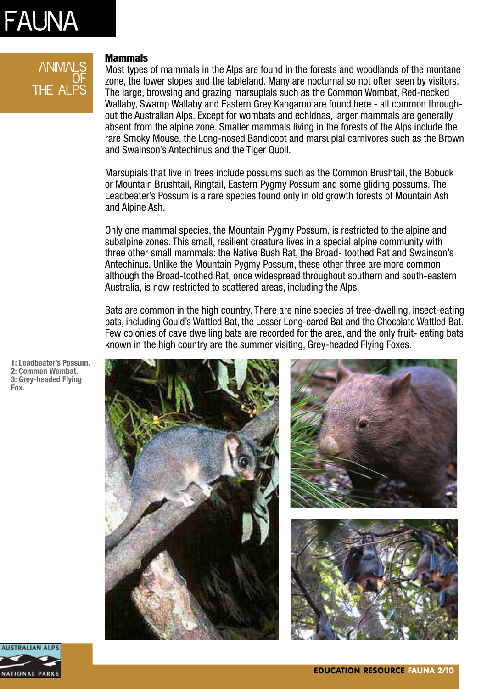**ANIMALS**  $Q\vdash$ the alps

#### Mammals

Most types of mammals in the Alps are found in the forests and woodlands of the montane zone, the lower slopes and the tableland. Many are nocturnal so not often seen by visitors. The large, browsing and grazing marsupials such as the Common Wombat, Red-necked Wallaby, Swamp Wallaby and Eastern Grey Kangaroo are found here - all common throughout the Australian Alps. Except for wombats and echidnas, larger mammals are generally absent from the alpine zone. Smaller mammals living in the forests of the Alps include the rare Smoky Mouse, the Long-nosed Bandicoot and marsupial carnivores such as the Brown and Swainson's Antechinus and the Tiger Quoll.

Marsupials that live in trees include possums such as the Common Brushtail, the Bobuck or Mountain Brushtail, Ringtail, Eastern Pygmy Possum and some gliding possums. The Leadbeater's Possum is a rare species found only in old growth forests of Mountain Ash and Alpine Ash.

Only one mammal species, the Mountain Pygmy Possum, is restricted to the alpine and subalpine zones. This small, resilient creature lives in a special alpine community with three other small mammals: the Native Bush Rat, the Broad- toothed Rat and Swainson's Antechinus. Unlike the Mountain Pygmy Possum, these other three are more common although the Broad-toothed Rat, once widespread throughout southern and south-eastern Australia, is now restricted to scattered areas, including the Alps.

Bats are common in the high country. There are nine species of tree-dwelling, insect-eating bats, including Gould's Wattled Bat, the Lesser Long-eared Bat and the Chocolate Wattled Bat. Few colonies of cave dwelling bats are recorded for the area, and the only fruit- eating bats known in the high country are the summer visiting, Grey-headed Flying Foxes.



**1: Leadbeater's Possum. 2: Common Wombat. 3: Grey-headed Flying Fox.**

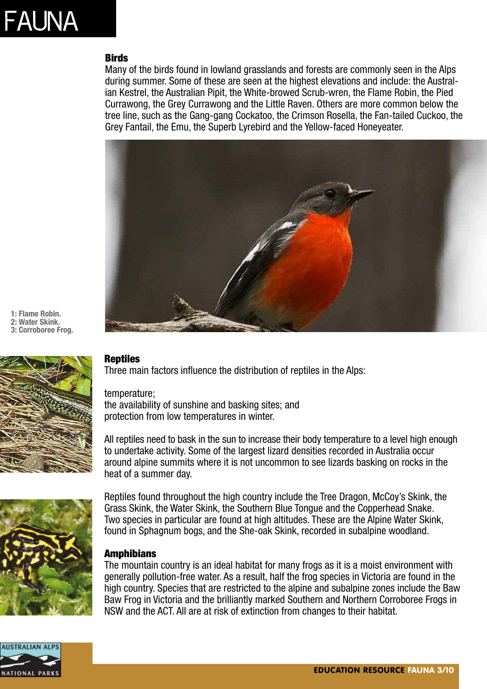### **Birds**

Many of the birds found in lowland grasslands and forests are commonly seen in the Alps during summer. Some of these are seen at the highest elevations and include: the Australian Kestrel, the Australian Pipit, the White-browed Scrub-wren, the Flame Robin, the Pied Currawong, the Grey Currawong and the Little Raven. Others are more common below the tree line, such as the Gang-gang Cockatoo, the Crimson Rosella, the Fan-tailed Cuckoo, the Grey Fantail, the Emu, the Superb Lyrebird and the Yellow-faced Honeyeater.



**1: Flame Robin. 2: Water Skink. 3: Corroboree Frog.**



### **Reptiles**

Three main factors influence the distribution of reptiles in the Alps:

#### temperature;

the availability of sunshine and basking sites; and protection from low temperatures in winter.

All reptiles need to bask in the sun to increase their body temperature to a level high enough to undertake activity. Some of the largest lizard densities recorded in Australia occur around alpine summits where it is not uncommon to see lizards basking on rocks in the heat of a summer day.



Reptiles found throughout the high country include the Tree Dragon, McCoy's Skink, the Grass Skink, the Water Skink, the Southern Blue Tongue and the Copperhead Snake. Two species in particular are found at high altitudes. These are the Alpine Water Skink, found in Sphagnum bogs, and the She-oak Skink, recorded in subalpine woodland.

#### **Amphibians**

The mountain country is an ideal habitat for many frogs as it is a moist environment with generally pollution-free water. As a result, half the frog species in Victoria are found in the high country. Species that are restricted to the alpine and subalpine zones include the Baw Baw Frog in Victoria and the brilliantly marked Southern and Northern Corroboree Frogs in NSW and the ACT. All are at risk of extinction from changes to their habitat.

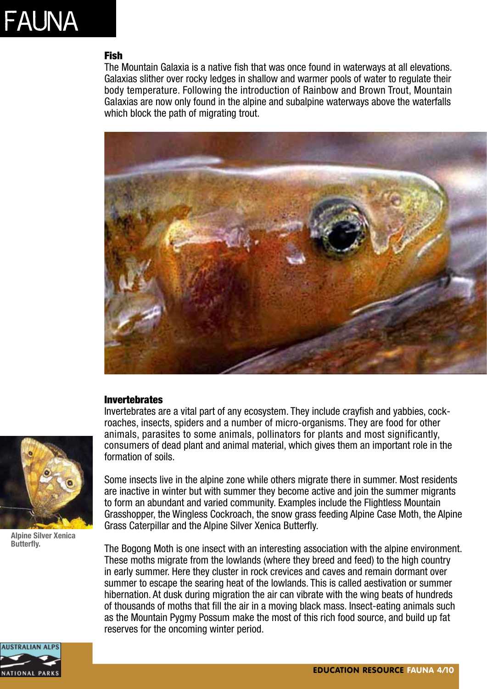#### Fish

The Mountain Galaxia is a native fish that was once found in waterways at all elevations. Galaxias slither over rocky ledges in shallow and warmer pools of water to regulate their body temperature. Following the introduction of Rainbow and Brown Trout, Mountain Galaxias are now only found in the alpine and subalpine waterways above the waterfalls which block the path of migrating trout.



#### Invertebrates

Invertebrates are a vital part of any ecosystem. They include crayfish and yabbies, cockroaches, insects, spiders and a number of micro-organisms. They are food for other animals, parasites to some animals, pollinators for plants and most significantly, consumers of dead plant and animal material, which gives them an important role in the formation of soils.

Some insects live in the alpine zone while others migrate there in summer. Most residents are inactive in winter but with summer they become active and join the summer migrants to form an abundant and varied community. Examples include the Flightless Mountain Grasshopper, the Wingless Cockroach, the snow grass feeding Alpine Case Moth, the Alpine Grass Caterpillar and the Alpine Silver Xenica Butterfly.

The Bogong Moth is one insect with an interesting association with the alpine environment. These moths migrate from the lowlands (where they breed and feed) to the high country in early summer. Here they cluster in rock crevices and caves and remain dormant over summer to escape the searing heat of the lowlands. This is called aestivation or summer hibernation. At dusk during migration the air can vibrate with the wing beats of hundreds of thousands of moths that fill the air in a moving black mass. Insect-eating animals such as the Mountain Pygmy Possum make the most of this rich food source, and build up fat reserves for the oncoming winter period.



**Alpine Silver Xenica Butterfly.**

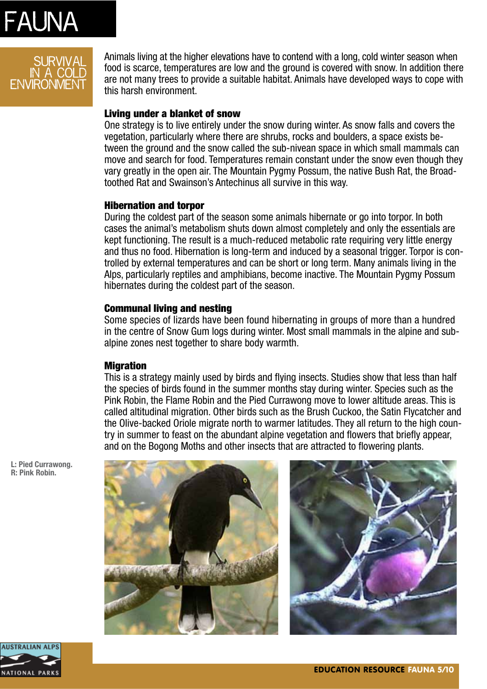### survival in a cold **ENVIRONMENT**

Animals living at the higher elevations have to contend with a long, cold winter season when food is scarce, temperatures are low and the ground is covered with snow. In addition there are not many trees to provide a suitable habitat. Animals have developed ways to cope with this harsh environment.

#### Living under a blanket of snow

One strategy is to live entirely under the snow during winter. As snow falls and covers the vegetation, particularly where there are shrubs, rocks and boulders, a space exists between the ground and the snow called the sub-nivean space in which small mammals can move and search for food. Temperatures remain constant under the snow even though they vary greatly in the open air. The Mountain Pygmy Possum, the native Bush Rat, the Broadtoothed Rat and Swainson's Antechinus all survive in this way.

#### Hibernation and torpor

During the coldest part of the season some animals hibernate or go into torpor. In both cases the animal's metabolism shuts down almost completely and only the essentials are kept functioning. The result is a much-reduced metabolic rate requiring very little energy and thus no food. Hibernation is long-term and induced by a seasonal trigger. Torpor is controlled by external temperatures and can be short or long term. Many animals living in the Alps, particularly reptiles and amphibians, become inactive. The Mountain Pygmy Possum hibernates during the coldest part of the season.

#### Communal living and nesting

Some species of lizards have been found hibernating in groups of more than a hundred in the centre of Snow Gum logs during winter. Most small mammals in the alpine and subalpine zones nest together to share body warmth.

#### **Migration**

This is a strategy mainly used by birds and flying insects. Studies show that less than half the species of birds found in the summer months stay during winter. Species such as the Pink Robin, the Flame Robin and the Pied Currawong move to lower altitude areas. This is called altitudinal migration. Other birds such as the Brush Cuckoo, the Satin Flycatcher and the Olive-backed Oriole migrate north to warmer latitudes. They all return to the high country in summer to feast on the abundant alpine vegetation and flowers that briefly appear, and on the Bogong Moths and other insects that are attracted to flowering plants.

**L: Pied Currawong. R: Pink Robin.**



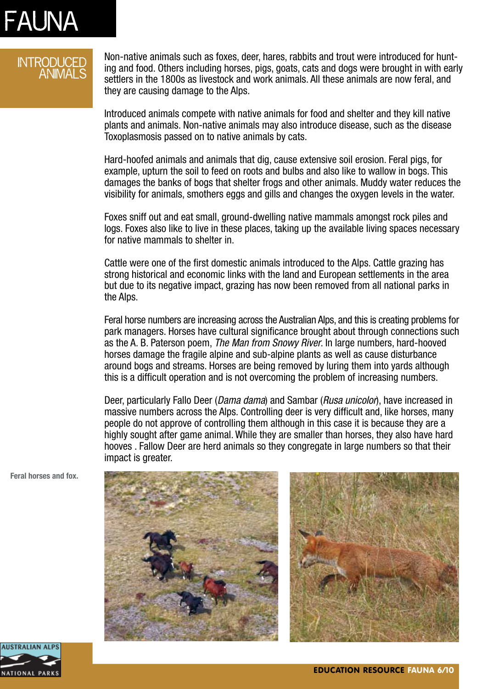## INTRODUCED animals

Non-native animals such as foxes, deer, hares, rabbits and trout were introduced for hunting and food. Others including horses, pigs, goats, cats and dogs were brought in with early settlers in the 1800s as livestock and work animals. All these animals are now feral, and they are causing damage to the Alps.

Introduced animals compete with native animals for food and shelter and they kill native plants and animals. Non-native animals may also introduce disease, such as the disease Toxoplasmosis passed on to native animals by cats.

Hard-hoofed animals and animals that dig, cause extensive soil erosion. Feral pigs, for example, upturn the soil to feed on roots and bulbs and also like to wallow in bogs. This damages the banks of bogs that shelter frogs and other animals. Muddy water reduces the visibility for animals, smothers eggs and gills and changes the oxygen levels in the water.

Foxes sniff out and eat small, ground-dwelling native mammals amongst rock piles and logs. Foxes also like to live in these places, taking up the available living spaces necessary for native mammals to shelter in.

Cattle were one of the first domestic animals introduced to the Alps. Cattle grazing has strong historical and economic links with the land and European settlements in the area but due to its negative impact, grazing has now been removed from all national parks in the Alps.

Feral horse numbers are increasing across the Australian Alps, and this is creating problems for park managers. Horses have cultural significance brought about through connections such as the A. B. Paterson poem, *The Man from Snowy River*. In large numbers, hard-hooved horses damage the fragile alpine and sub-alpine plants as well as cause disturbance around bogs and streams. Horses are being removed by luring them into yards although this is a difficult operation and is not overcoming the problem of increasing numbers.

Deer, particularly Fallo Deer (*Dama dama*) and Sambar (*Rusa unicolor*), have increased in massive numbers across the Alps. Controlling deer is very difficult and, like horses, many people do not approve of controlling them although in this case it is because they are a highly sought after game animal. While they are smaller than horses, they also have hard hooves . Fallow Deer are herd animals so they congregate in large numbers so that their impact is greater.

**Feral horses and fox.**



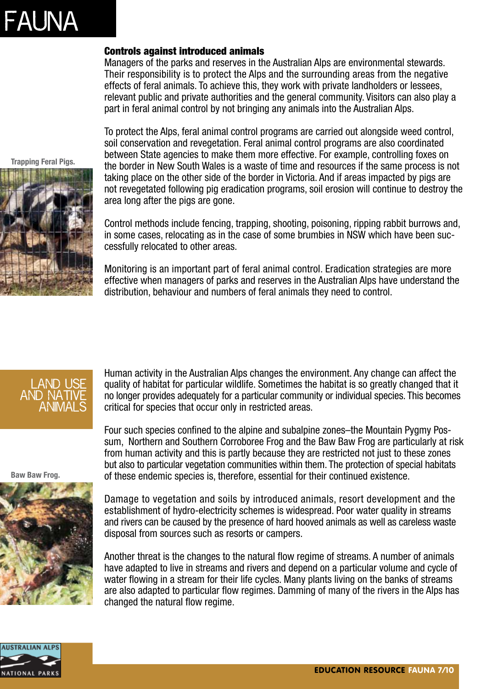**Trapping Feral Pigs.**

#### Controls against introduced animals

Managers of the parks and reserves in the Australian Alps are environmental stewards. Their responsibility is to protect the Alps and the surrounding areas from the negative effects of feral animals. To achieve this, they work with private landholders or lessees, relevant public and private authorities and the general community. Visitors can also play a part in feral animal control by not bringing any animals into the Australian Alps.

To protect the Alps, feral animal control programs are carried out alongside weed control, soil conservation and revegetation. Feral animal control programs are also coordinated between State agencies to make them more effective. For example, controlling foxes on the border in New South Wales is a waste of time and resources if the same process is not taking place on the other side of the border in Victoria. And if areas impacted by pigs are not revegetated following pig eradication programs, soil erosion will continue to destroy the area long after the pigs are gone.

Control methods include fencing, trapping, shooting, poisoning, ripping rabbit burrows and, in some cases, relocating as in the case of some brumbies in NSW which have been successfully relocated to other areas.

Monitoring is an important part of feral animal control. Eradication strategies are more effective when managers of parks and reserves in the Australian Alps have understand the distribution, behaviour and numbers of feral animals they need to control.



Human activity in the Australian Alps changes the environment. Any change can affect the quality of habitat for particular wildlife. Sometimes the habitat is so greatly changed that it no longer provides adequately for a particular community or individual species. This becomes critical for species that occur only in restricted areas.

Four such species confined to the alpine and subalpine zones–the Mountain Pygmy Possum, Northern and Southern Corroboree Frog and the Baw Baw Frog are particularly at risk from human activity and this is partly because they are restricted not just to these zones but also to particular vegetation communities within them. The protection of special habitats of these endemic species is, therefore, essential for their continued existence.



Damage to vegetation and soils by introduced animals, resort development and the establishment of hydro-electricity schemes is widespread. Poor water quality in streams and rivers can be caused by the presence of hard hooved animals as well as careless waste disposal from sources such as resorts or campers.

Another threat is the changes to the natural flow regime of streams. A number of animals have adapted to live in streams and rivers and depend on a particular volume and cycle of water flowing in a stream for their life cycles. Many plants living on the banks of streams are also adapted to particular flow regimes. Damming of many of the rivers in the Alps has changed the natural flow regime.

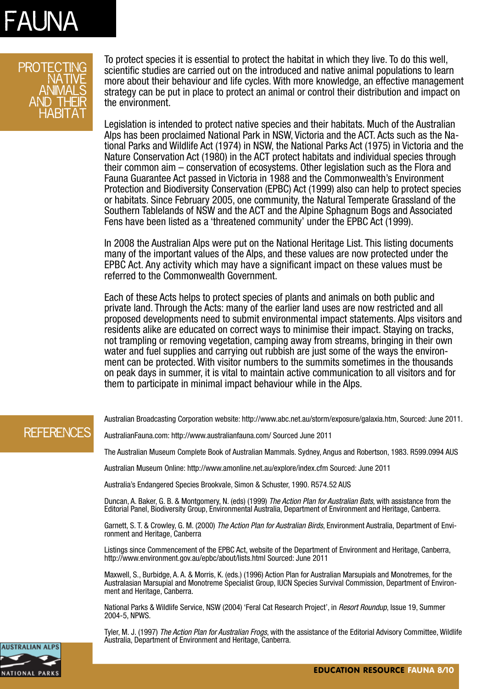### PROT NA TIVE <u>ANIMALS</u> a<u>nd their</u> habitat

To protect species it is essential to protect the habitat in which they live. To do this well, scientific studies are carried out on the introduced and native animal populations to learn more about their behaviour and life cycles. With more knowledge, an effective management strategy can be put in place to protect an animal or control their distribution and impact on the environment.

Legislation is intended to protect native species and their habitats. Much of the Australian Alps has been proclaimed National Park in NSW, Victoria and the ACT. Acts such as the National Parks and Wildlife Act (1974) in NSW, the National Parks Act (1975) in Victoria and the Nature Conservation Act (1980) in the ACT protect habitats and individual species through their common aim – conservation of ecosystems. Other legislation such as the Flora and Fauna Guarantee Act passed in Victoria in 1988 and the Commonwealth's Environment Protection and Biodiversity Conservation (EPBC) Act (1999) also can help to protect species or habitats. Since February 2005, one community, the Natural Temperate Grassland of the Southern Tablelands of NSW and the ACT and the Alpine Sphagnum Bogs and Associated Fens have been listed as a 'threatened community' under the EPBC Act (1999).

In 2008 the Australian Alps were put on the National Heritage List. This listing documents many of the important values of the Alps, and these values are now protected under the EPBC Act. Any activity which may have a significant impact on these values must be referred to the Commonwealth Government.

Each of these Acts helps to protect species of plants and animals on both public and private land. Through the Acts: many of the earlier land uses are now restricted and all proposed developments need to submit environmental impact statements. Alps visitors and residents alike are educated on correct ways to minimise their impact. Staying on tracks, not trampling or removing vegetation, camping away from streams, bringing in their own water and fuel supplies and carrying out rubbish are just some of the ways the environment can be protected. With visitor numbers to the summits sometimes in the thousands on peak days in summer, it is vital to maintain active communication to all visitors and for them to participate in minimal impact behaviour while in the Alps.

## **REFERENCES**

Australian Broadcasting Corporation website: http://www.abc.net.au/storm/exposure/galaxia.htm, Sourced: June 2011.

AustralianFauna.com: http://www.australianfauna.com/ Sourced June 2011

The Australian Museum Complete Book of Australian Mammals. Sydney, Angus and Robertson, 1983. R599.0994 AUS

Australian Museum Online: http://www.amonline.net.au/explore/index.cfm Sourced: June 2011

Australia's Endangered Species Brookvale, Simon & Schuster, 1990. R574.52 AUS

Duncan, A. Baker, G. B. & Montgomery, N. (eds) (1999) *The Action Plan for Australian Bats*, with assistance from the Editorial Panel, Biodiversity Group, Environmental Australia, Department of Environment and Heritage, Canberra.

Garnett, S. T. & Crowley, G. M. (2000) *The Action Plan for Australian Birds*, Environment Australia, Department of Environment and Heritage, Canberra

Listings since Commencement of the EPBC Act, website of the Department of Environment and Heritage, Canberra, http://www.environment.gov.au/epbc/about/lists.html Sourced: June 2011

Maxwell, S., Burbidge, A. A. & Morris, K. (eds.) (1996) Action Plan for Australian Marsupials and Monotremes, for the Australasian Marsupial and Monotreme Specialist Group, IUCN Species Survival Commission, Department of Environment and Heritage, Canberra.

National Parks & Wildlife Service, NSW (2004) 'Feral Cat Research Project', in *Resort Roundup*, Issue 19, Summer 2004-5, NPWS.

Tyler, M. J. (1997) *The Action Plan for Australian Frogs*, with the assistance of the Editorial Advisory Committee, Wildlife Australia, Department of Environment and Heritage, Canberra.

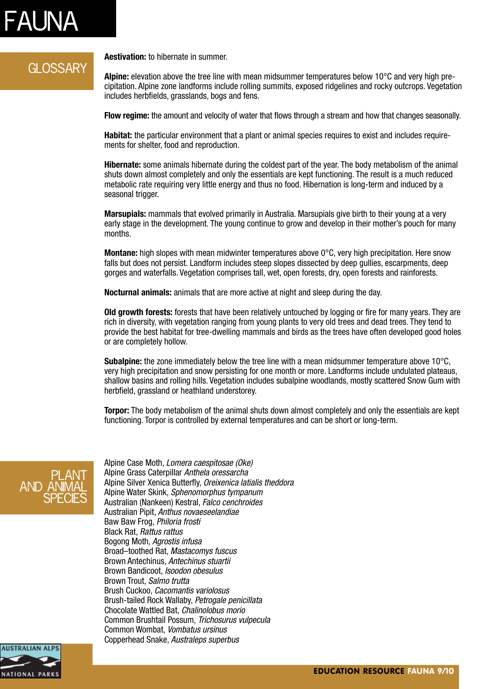# **JNA**

### **GLOSSARY**

**Aestivation:** to hibernate in summer.

**Alpine:** elevation above the tree line with mean midsummer temperatures below 10°C and very high precipitation. Alpine zone landforms include rolling summits, exposed ridgelines and rocky outcrops. Vegetation includes herbfields, grasslands, bogs and fens.

**Flow regime:** the amount and velocity of water that flows through a stream and how that changes seasonally.

**Habitat:** the particular environment that a plant or animal species requires to exist and includes requirements for shelter, food and reproduction.

**Hibernate:** some animals hibernate during the coldest part of the year. The body metabolism of the animal shuts down almost completely and only the essentials are kept functioning. The result is a much reduced metabolic rate requiring very little energy and thus no food. Hibernation is long-term and induced by a seasonal trigger.

**Marsupials:** mammals that evolved primarily in Australia. Marsupials give birth to their young at a very early stage in the development. The young continue to grow and develop in their mother's pouch for many months.

**Montane:** high slopes with mean midwinter temperatures above 0°C, very high precipitation. Here snow falls but does not persist. Landform includes steep slopes dissected by deep gullies, escarpments, deep gorges and waterfalls. Vegetation comprises tall, wet, open forests, dry, open forests and rainforests.

**Nocturnal animals:** animals that are more active at night and sleep during the day.

**Old growth forests:** forests that have been relatively untouched by logging or fire for many years. They are rich in diversity, with vegetation ranging from young plants to very old trees and dead trees. They tend to provide the best habitat for tree-dwelling mammals and birds as the trees have often developed good holes or are completely hollow.

**Subalpine:** the zone immediately below the tree line with a mean midsummer temperature above 10°C, very high precipitation and snow persisting for one month or more. Landforms include undulated plateaus, shallow basins and rolling hills. Vegetation includes subalpine woodlands, mostly scattered Snow Gum with herbfield, grassland or heathland understorey.

**Torpor:** The body metabolism of the animal shuts down almost completely and only the essentials are kept functioning. Torpor is controlled by external temperatures and can be short or long-term.



Alpine Case Moth, *Lomera caespitosae (Oke)* Alpine Grass Caterpillar *Anthela oressarcha* Alpine Silver Xenica Butterfly, *Oreixenica latialis theddora* Alpine Water Skink, *Sphenomorphus tympanum* Australian (Nankeen) Kestral, *Falco cenchroides* Australian Pipit, *Anthus novaeseelandiae* Baw Baw Frog, *Philoria frosti* Black Rat, *Rattus rattus* Bogong Moth, *Agrostis infusa* Broad–toothed Rat, *Mastacomys fuscus* Brown Antechinus, *Antechinus stuartii* Brown Bandicoot, *Isoodon obesulus* Brown Trout, *Salmo trutta* Brush Cuckoo, *Cacomantis variolosus* Brush-tailed Rock Wallaby, *Petrogale penicillata* Chocolate Wattled Bat, *Chalinolobus morio* Common Brushtail Possum, *Trichosurus vulpecula* Common Wombat, *Vombatus ursinus* Copperhead Snake, *Australeps superbus*